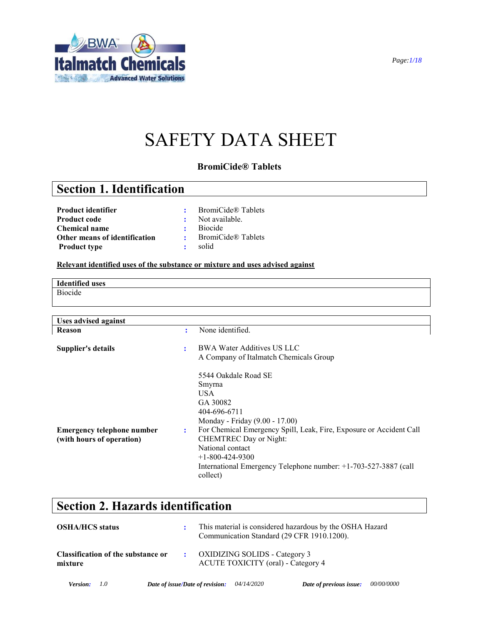

# SAFETY DATA SHEET

### **BromiCide® Tablets**

### **Section 1. Identification**

| <b>Product identifier</b>     |                | <b>BromiCide® Tablets</b> |
|-------------------------------|----------------|---------------------------|
| <b>Product code</b>           |                | : Not available.          |
| <b>Chemical name</b>          | $\mathbf{r}$   | <b>Biocide</b>            |
| Other means of identification | 2 <sup>2</sup> | <b>BromiCide® Tablets</b> |
| <b>Product type</b>           | ÷.             | solid                     |

### **Relevant identified uses of the substance or mixture and uses advised against**

**Identified uses** Biocide

| <b>Uses advised against</b>                                    |   |                                                                                                                                                                                                                                                                                                                                      |
|----------------------------------------------------------------|---|--------------------------------------------------------------------------------------------------------------------------------------------------------------------------------------------------------------------------------------------------------------------------------------------------------------------------------------|
| Reason                                                         | ٠ | None identified.                                                                                                                                                                                                                                                                                                                     |
| Supplier's details                                             | ٠ | <b>BWA Water Additives US LLC</b><br>A Company of Italmatch Chemicals Group                                                                                                                                                                                                                                                          |
| <b>Emergency telephone number</b><br>(with hours of operation) | ÷ | 5544 Oakdale Road SE<br>Smyrna<br>USA.<br>GA 30082<br>404-696-6711<br>Monday - Friday (9.00 - 17.00)<br>For Chemical Emergency Spill, Leak, Fire, Exposure or Accident Call<br><b>CHEMTREC Day or Night:</b><br>National contact<br>$+1-800-424-9300$<br>International Emergency Telephone number: +1-703-527-3887 (call<br>collect) |

### **Section 2. Hazards identification**

| <b>OSHA/HCS status</b>                        | $\mathbf{r}$ | This material is considered hazardous by the OSHA Hazard<br>Communication Standard (29 CFR 1910.1200). |
|-----------------------------------------------|--------------|--------------------------------------------------------------------------------------------------------|
| Classification of the substance or<br>mixture |              | $\therefore$ OXIDIZING SOLIDS - Category 3<br><b>ACUTE TOXICITY</b> (oral) - Category 4                |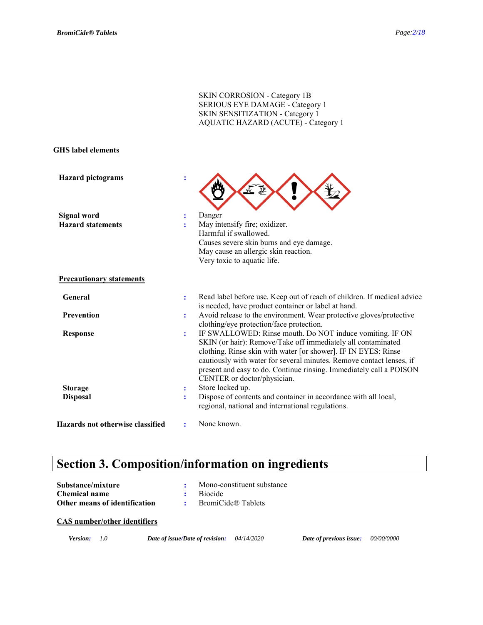|                                                |                     | <b>SKIN CORROSION - Category 1B</b><br>SERIOUS EYE DAMAGE - Category 1<br>SKIN SENSITIZATION - Category 1<br>AQUATIC HAZARD (ACUTE) - Category 1                                                                                                                                                                                                                         |
|------------------------------------------------|---------------------|--------------------------------------------------------------------------------------------------------------------------------------------------------------------------------------------------------------------------------------------------------------------------------------------------------------------------------------------------------------------------|
| <b>GHS</b> label elements                      |                     |                                                                                                                                                                                                                                                                                                                                                                          |
| <b>Hazard</b> pictograms                       | $\ddot{\cdot}$      |                                                                                                                                                                                                                                                                                                                                                                          |
| <b>Signal word</b><br><b>Hazard statements</b> | $\ddot{\cdot}$<br>÷ | Danger<br>May intensify fire; oxidizer.<br>Harmful if swallowed.<br>Causes severe skin burns and eye damage.<br>May cause an allergic skin reaction.<br>Very toxic to aquatic life.                                                                                                                                                                                      |
| <b>Precautionary statements</b>                |                     |                                                                                                                                                                                                                                                                                                                                                                          |
| General                                        | $\ddot{\cdot}$      | Read label before use. Keep out of reach of children. If medical advice<br>is needed, have product container or label at hand.                                                                                                                                                                                                                                           |
| <b>Prevention</b>                              | ÷                   | Avoid release to the environment. Wear protective gloves/protective<br>clothing/eye protection/face protection.                                                                                                                                                                                                                                                          |
| <b>Response</b>                                | ÷                   | IF SWALLOWED: Rinse mouth. Do NOT induce vomiting. IF ON<br>SKIN (or hair): Remove/Take off immediately all contaminated<br>clothing. Rinse skin with water [or shower]. IF IN EYES: Rinse<br>cautiously with water for several minutes. Remove contact lenses, if<br>present and easy to do. Continue rinsing. Immediately call a POISON<br>CENTER or doctor/physician. |
| <b>Storage</b>                                 | ÷                   | Store locked up.                                                                                                                                                                                                                                                                                                                                                         |
| <b>Disposal</b>                                | ÷                   | Dispose of contents and container in accordance with all local,<br>regional, national and international regulations.                                                                                                                                                                                                                                                     |
| Hazards not otherwise classified               | ÷                   | None known.                                                                                                                                                                                                                                                                                                                                                              |

# **Section 3. Composition/information on ingredients**

| Substance/mixture             | Mono-constituent substance |
|-------------------------------|----------------------------|
| Chemical name                 | <b>Biocide</b>             |
| Other means of identification | BromiCide® Tablets         |

### **CAS number/other identifiers**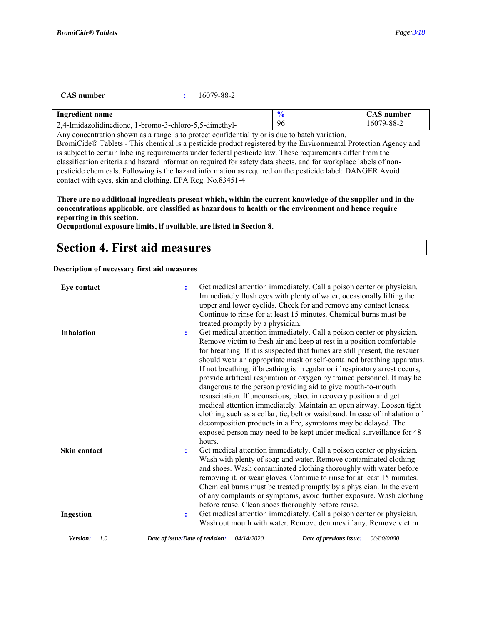### **CAS number :** 16079-88-2

| Ingredient name                                        |    | .'AS number |
|--------------------------------------------------------|----|-------------|
| 2,4-Imidazolidinedione, 1-bromo-3-chloro-5,5-dimethyl- | 96 | 16079-88-2  |

Any concentration shown as a range is to protect confidentiality or is due to batch variation.

BromiCide® Tablets - This chemical is a pesticide product registered by the Environmental Protection Agency and is subject to certain labeling requirements under federal pesticide law. These requirements differ from the classification criteria and hazard information required for safety data sheets, and for workplace labels of nonpesticide chemicals. Following is the hazard information as required on the pesticide label: DANGER Avoid contact with eyes, skin and clothing. EPA Reg. No.83451-4

**There are no additional ingredients present which, within the current knowledge of the supplier and in the concentrations applicable, are classified as hazardous to health or the environment and hence require reporting in this section.**

**Occupational exposure limits, if available, are listed in Section 8.**

### **Section 4. First aid measures**

### **Description of necessary first aid measures**

| Eye contact                      | Get medical attention immediately. Call a poison center or physician.<br>÷<br>Immediately flush eyes with plenty of water, occasionally lifting the<br>upper and lower eyelids. Check for and remove any contact lenses.<br>Continue to rinse for at least 15 minutes. Chemical burns must be<br>treated promptly by a physician.                                                                                                                                                                                                                                                                                                                                                                                                                                                                                                                                                                                                     |
|----------------------------------|---------------------------------------------------------------------------------------------------------------------------------------------------------------------------------------------------------------------------------------------------------------------------------------------------------------------------------------------------------------------------------------------------------------------------------------------------------------------------------------------------------------------------------------------------------------------------------------------------------------------------------------------------------------------------------------------------------------------------------------------------------------------------------------------------------------------------------------------------------------------------------------------------------------------------------------|
| <b>Inhalation</b>                | Get medical attention immediately. Call a poison center or physician.<br>$\ddot{\cdot}$<br>Remove victim to fresh air and keep at rest in a position comfortable<br>for breathing. If it is suspected that fumes are still present, the rescuer<br>should wear an appropriate mask or self-contained breathing apparatus.<br>If not breathing, if breathing is irregular or if respiratory arrest occurs,<br>provide artificial respiration or oxygen by trained personnel. It may be<br>dangerous to the person providing aid to give mouth-to-mouth<br>resuscitation. If unconscious, place in recovery position and get<br>medical attention immediately. Maintain an open airway. Loosen tight<br>clothing such as a collar, tie, belt or waistband. In case of inhalation of<br>decomposition products in a fire, symptoms may be delayed. The<br>exposed person may need to be kept under medical surveillance for 48<br>hours. |
| <b>Skin contact</b><br>Ingestion | Get medical attention immediately. Call a poison center or physician.<br>Wash with plenty of soap and water. Remove contaminated clothing<br>and shoes. Wash contaminated clothing thoroughly with water before<br>removing it, or wear gloves. Continue to rinse for at least 15 minutes.<br>Chemical burns must be treated promptly by a physician. In the event<br>of any complaints or symptoms, avoid further exposure. Wash clothing<br>before reuse. Clean shoes thoroughly before reuse.<br>Get medical attention immediately. Call a poison center or physician.<br>÷                                                                                                                                                                                                                                                                                                                                                        |
| Version:<br>1.0                  | Wash out mouth with water. Remove dentures if any. Remove victim<br>04/14/2020<br>00/00/0000<br>Date of issue/Date of revision:<br>Date of previous issue:                                                                                                                                                                                                                                                                                                                                                                                                                                                                                                                                                                                                                                                                                                                                                                            |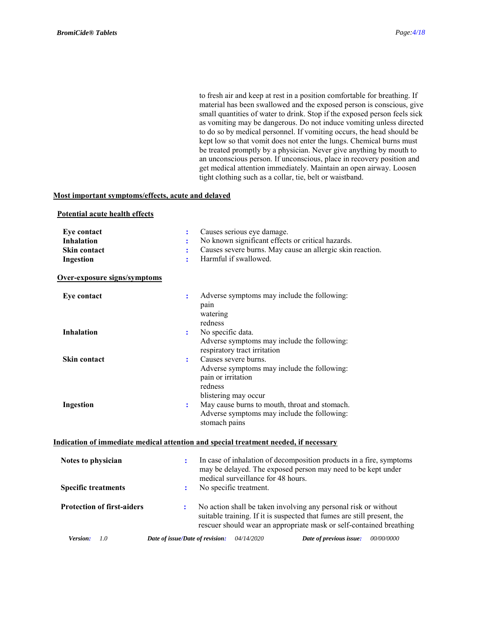to fresh air and keep at rest in a position comfortable for breathing. If material has been swallowed and the exposed person is conscious, give small quantities of water to drink. Stop if the exposed person feels sick as vomiting may be dangerous. Do not induce vomiting unless directed to do so by medical personnel. If vomiting occurs, the head should be kept low so that vomit does not enter the lungs. Chemical burns must be treated promptly by a physician. Never give anything by mouth to an unconscious person. If unconscious, place in recovery position and get medical attention immediately. Maintain an open airway. Loosen tight clothing such as a collar, tie, belt or waistband.

### **Most important symptoms/effects, acute and delayed**

| Potential acute health effects |  |  |
|--------------------------------|--|--|
|                                |  |  |

| Eye contact                       | Causes serious eye damage.                                                                                                                                                                                             |
|-----------------------------------|------------------------------------------------------------------------------------------------------------------------------------------------------------------------------------------------------------------------|
| <b>Inhalation</b>                 | No known significant effects or critical hazards.                                                                                                                                                                      |
| Skin contact                      | Causes severe burns. May cause an allergic skin reaction.                                                                                                                                                              |
| <b>Ingestion</b>                  | Harmful if swallowed.<br>ř                                                                                                                                                                                             |
| Over-exposure signs/symptoms      |                                                                                                                                                                                                                        |
| Eye contact                       | Adverse symptoms may include the following:<br>÷<br>pain<br>watering<br>redness                                                                                                                                        |
| <b>Inhalation</b>                 | No specific data.<br>$\ddot{\cdot}$<br>Adverse symptoms may include the following:<br>respiratory tract irritation                                                                                                     |
| Skin contact                      | Causes severe burns.<br>÷<br>Adverse symptoms may include the following:<br>pain or irritation<br>redness<br>blistering may occur                                                                                      |
| Ingestion                         | May cause burns to mouth, throat and stomach.<br>$\ddot{\cdot}$<br>Adverse symptoms may include the following:<br>stomach pains                                                                                        |
|                                   | Indication of immediate medical attention and special treatment needed, if necessary                                                                                                                                   |
| Notes to physician                | In case of inhalation of decomposition products in a fire, symptoms<br>÷<br>may be delayed. The exposed person may need to be kept under<br>medical surveillance for 48 hours.                                         |
| <b>Specific treatments</b>        | No specific treatment.<br>$\ddot{\cdot}$                                                                                                                                                                               |
| <b>Protection of first-aiders</b> | No action shall be taken involving any personal risk or without<br>÷<br>suitable training. If it is suspected that fumes are still present, the<br>rescuer should wear an appropriate mask or self-contained breathing |
| 1.0<br>Version:                   | 04/14/2020<br>00/00/0000<br>Date of issue/Date of revision:<br>Date of previous issue:                                                                                                                                 |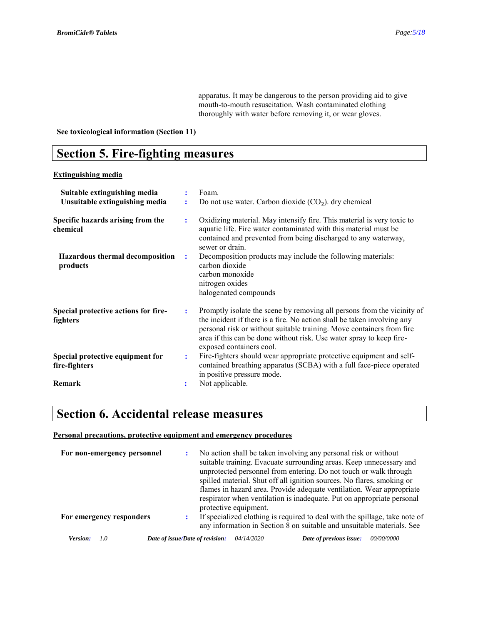apparatus. It may be dangerous to the person providing aid to give mouth-to-mouth resuscitation. Wash contaminated clothing thoroughly with water before removing it, or wear gloves.

### **See toxicological information (Section 11)**

### **Section 5. Fire-fighting measures**

### **Extinguishing media**

| Suitable extinguishing media                      |                | Foam.                                                                                                                                                                                                                                                                                                                           |
|---------------------------------------------------|----------------|---------------------------------------------------------------------------------------------------------------------------------------------------------------------------------------------------------------------------------------------------------------------------------------------------------------------------------|
| Unsuitable extinguishing media                    |                | Do not use water. Carbon dioxide $(CO2)$ . dry chemical                                                                                                                                                                                                                                                                         |
| Specific hazards arising from the<br>chemical     | ÷              | Oxidizing material. May intensify fire. This material is very toxic to<br>aquatic life. Fire water contaminated with this material must be<br>contained and prevented from being discharged to any waterway,<br>sewer or drain.                                                                                                 |
| Hazardous thermal decomposition<br>products       | $\ddot{\cdot}$ | Decomposition products may include the following materials:<br>carbon dioxide<br>carbon monoxide<br>nitrogen oxides<br>halogenated compounds                                                                                                                                                                                    |
| Special protective actions for fire-<br>fighters  | ÷              | Promptly isolate the scene by removing all persons from the vicinity of<br>the incident if there is a fire. No action shall be taken involving any<br>personal risk or without suitable training. Move containers from fire<br>area if this can be done without risk. Use water spray to keep fire-<br>exposed containers cool. |
| Special protective equipment for<br>fire-fighters | ÷              | Fire-fighters should wear appropriate protective equipment and self-<br>contained breathing apparatus (SCBA) with a full face-piece operated<br>in positive pressure mode.                                                                                                                                                      |
| Remark                                            | ÷              | Not applicable.                                                                                                                                                                                                                                                                                                                 |

### **Section 6. Accidental release measures**

### **Personal precautions, protective equipment and emergency procedures**

| For non-emergency personnel |                                 | No action shall be taken involving any personal risk or without<br>suitable training. Evacuate surrounding areas. Keep unnecessary and<br>unprotected personnel from entering. Do not touch or walk through<br>spilled material. Shut off all ignition sources. No flares, smoking or<br>flames in hazard area. Provide adequate ventilation. Wear appropriate<br>respirator when ventilation is inadequate. Put on appropriate personal<br>protective equipment. |                                                                                                                                                       |                   |
|-----------------------------|---------------------------------|-------------------------------------------------------------------------------------------------------------------------------------------------------------------------------------------------------------------------------------------------------------------------------------------------------------------------------------------------------------------------------------------------------------------------------------------------------------------|-------------------------------------------------------------------------------------------------------------------------------------------------------|-------------------|
| For emergency responders    |                                 |                                                                                                                                                                                                                                                                                                                                                                                                                                                                   | If specialized clothing is required to deal with the spillage, take note of<br>any information in Section 8 on suitable and unsuitable materials. See |                   |
| Version:<br>(1)             | Date of issue/Date of revision: | <i>04/14/2020</i>                                                                                                                                                                                                                                                                                                                                                                                                                                                 | Date of previous issue:                                                                                                                               | <i>00/00/0000</i> |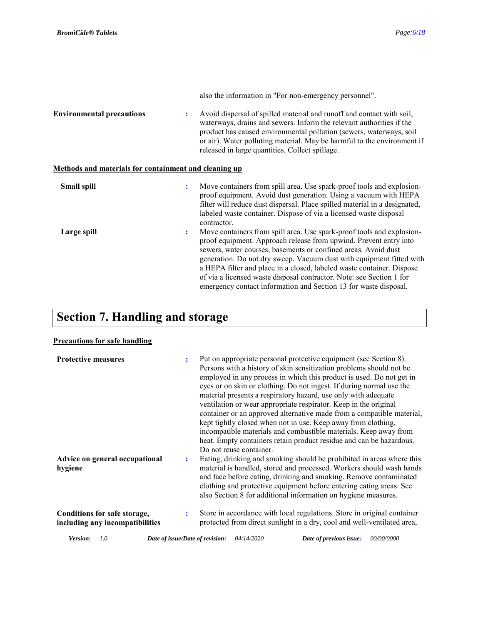|                                                       |                | also the information in "For non-emergency personnel".                                                                                                                                                                                                                                                                                                                                                                                                                                                    |
|-------------------------------------------------------|----------------|-----------------------------------------------------------------------------------------------------------------------------------------------------------------------------------------------------------------------------------------------------------------------------------------------------------------------------------------------------------------------------------------------------------------------------------------------------------------------------------------------------------|
| <b>Environmental precautions</b>                      |                | Avoid dispersal of spilled material and runoff and contact with soil,<br>waterways, drains and sewers. Inform the relevant authorities if the<br>product has caused environmental pollution (sewers, waterways, soil<br>or air). Water polluting material. May be harmful to the environment if<br>released in large quantities. Collect spillage.                                                                                                                                                        |
| Methods and materials for containment and cleaning up |                |                                                                                                                                                                                                                                                                                                                                                                                                                                                                                                           |
| Small spill                                           |                | Move containers from spill area. Use spark-proof tools and explosion-<br>proof equipment. Avoid dust generation. Using a vacuum with HEPA<br>filter will reduce dust dispersal. Place spilled material in a designated,<br>labeled waste container. Dispose of via a licensed waste disposal<br>contractor.                                                                                                                                                                                               |
| Large spill                                           | $\ddot{\cdot}$ | Move containers from spill area. Use spark-proof tools and explosion-<br>proof equipment. Approach release from upwind. Prevent entry into<br>sewers, water courses, basements or confined areas. Avoid dust<br>generation. Do not dry sweep. Vacuum dust with equipment fitted with<br>a HEPA filter and place in a closed, labeled waste container. Dispose<br>of via a licensed waste disposal contractor. Note: see Section 1 for<br>emergency contact information and Section 13 for waste disposal. |

# **Section 7. Handling and storage**

### **Precautions for safe handling**

| <b>Protective measures</b>                                      |   | Put on appropriate personal protective equipment (see Section 8).<br>Persons with a history of skin sensitization problems should not be<br>employed in any process in which this product is used. Do not get in<br>eyes or on skin or clothing. Do not ingest. If during normal use the<br>material presents a respiratory hazard, use only with adequate<br>ventilation or wear appropriate respirator. Keep in the original<br>container or an approved alternative made from a compatible material,<br>kept tightly closed when not in use. Keep away from clothing,<br>incompatible materials and combustible materials. Keep away from<br>heat. Empty containers retain product residue and can be hazardous.<br>Do not reuse container. |
|-----------------------------------------------------------------|---|------------------------------------------------------------------------------------------------------------------------------------------------------------------------------------------------------------------------------------------------------------------------------------------------------------------------------------------------------------------------------------------------------------------------------------------------------------------------------------------------------------------------------------------------------------------------------------------------------------------------------------------------------------------------------------------------------------------------------------------------|
| Advice on general occupational<br>hygiene                       | ÷ | Eating, drinking and smoking should be prohibited in areas where this<br>material is handled, stored and processed. Workers should wash hands<br>and face before eating, drinking and smoking. Remove contaminated<br>clothing and protective equipment before entering eating areas. See<br>also Section 8 for additional information on hygiene measures.                                                                                                                                                                                                                                                                                                                                                                                    |
| Conditions for safe storage,<br>including any incompatibilities | ÷ | Store in accordance with local regulations. Store in original container<br>protected from direct sunlight in a dry, cool and well-ventilated area,                                                                                                                                                                                                                                                                                                                                                                                                                                                                                                                                                                                             |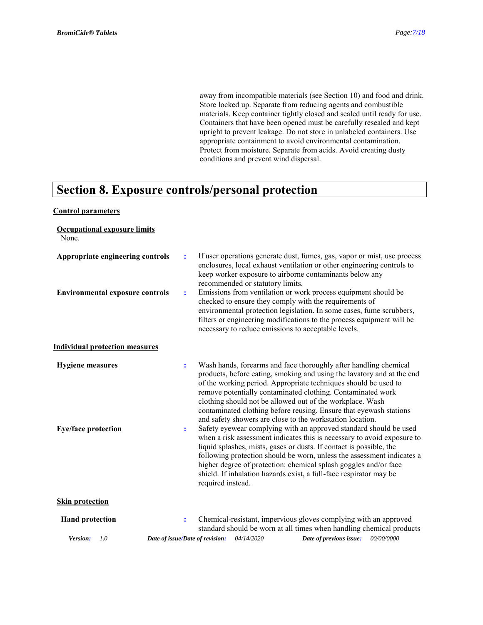away from incompatible materials (see Section 10) and food and drink. Store locked up. Separate from reducing agents and combustible materials. Keep container tightly closed and sealed until ready for use. Containers that have been opened must be carefully resealed and kept upright to prevent leakage. Do not store in unlabeled containers. Use appropriate containment to avoid environmental contamination. Protect from moisture. Separate from acids. Avoid creating dusty conditions and prevent wind dispersal.

### **Section 8. Exposure controls/personal protection**

### **Control parameters**

| <b>Occupational exposure limits</b><br>None.          |                                                                                                                                                                                                                                                                                                                                                                                                                                                                                                                                                                                                                                                                                                                                                                                                      |
|-------------------------------------------------------|------------------------------------------------------------------------------------------------------------------------------------------------------------------------------------------------------------------------------------------------------------------------------------------------------------------------------------------------------------------------------------------------------------------------------------------------------------------------------------------------------------------------------------------------------------------------------------------------------------------------------------------------------------------------------------------------------------------------------------------------------------------------------------------------------|
| Appropriate engineering controls                      | If user operations generate dust, fumes, gas, vapor or mist, use process<br>$\ddot{\cdot}$<br>enclosures, local exhaust ventilation or other engineering controls to<br>keep worker exposure to airborne contaminants below any<br>recommended or statutory limits.                                                                                                                                                                                                                                                                                                                                                                                                                                                                                                                                  |
| <b>Environmental exposure controls</b>                | Emissions from ventilation or work process equipment should be<br>÷<br>checked to ensure they comply with the requirements of<br>environmental protection legislation. In some cases, fume scrubbers,<br>filters or engineering modifications to the process equipment will be<br>necessary to reduce emissions to acceptable levels.                                                                                                                                                                                                                                                                                                                                                                                                                                                                |
| <b>Individual protection measures</b>                 |                                                                                                                                                                                                                                                                                                                                                                                                                                                                                                                                                                                                                                                                                                                                                                                                      |
| <b>Hygiene</b> measures<br><b>Eye/face protection</b> | Wash hands, forearms and face thoroughly after handling chemical<br>$\ddot{\cdot}$<br>products, before eating, smoking and using the lavatory and at the end<br>of the working period. Appropriate techniques should be used to<br>remove potentially contaminated clothing. Contaminated work<br>clothing should not be allowed out of the workplace. Wash<br>contaminated clothing before reusing. Ensure that eyewash stations<br>and safety showers are close to the workstation location.<br>Safety eyewear complying with an approved standard should be used<br>÷<br>when a risk assessment indicates this is necessary to avoid exposure to<br>liquid splashes, mists, gases or dusts. If contact is possible, the<br>following protection should be worn, unless the assessment indicates a |
|                                                       | higher degree of protection: chemical splash goggles and/or face<br>shield. If inhalation hazards exist, a full-face respirator may be<br>required instead.                                                                                                                                                                                                                                                                                                                                                                                                                                                                                                                                                                                                                                          |
| <b>Skin protection</b>                                |                                                                                                                                                                                                                                                                                                                                                                                                                                                                                                                                                                                                                                                                                                                                                                                                      |
| <b>Hand protection</b>                                | Chemical-resistant, impervious gloves complying with an approved<br>$\ddot{\cdot}$<br>standard should be worn at all times when handling chemical products                                                                                                                                                                                                                                                                                                                                                                                                                                                                                                                                                                                                                                           |
| Version:<br>1.0                                       | Date of issue/Date of revision: 04/14/2020<br>00/00/0000<br>Date of previous issue:                                                                                                                                                                                                                                                                                                                                                                                                                                                                                                                                                                                                                                                                                                                  |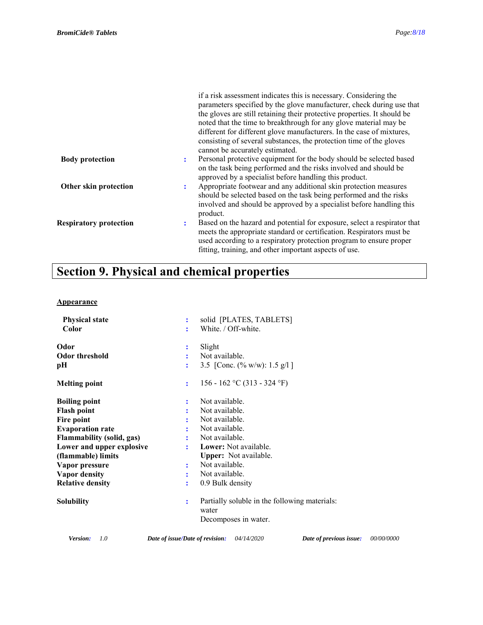|                               |   | if a risk assessment indicates this is necessary. Considering the<br>parameters specified by the glove manufacturer, check during use that<br>the gloves are still retaining their protective properties. It should be<br>noted that the time to breakthrough for any glove material may be<br>different for different glove manufacturers. In the case of mixtures,<br>consisting of several substances, the protection time of the gloves<br>cannot be accurately estimated. |
|-------------------------------|---|--------------------------------------------------------------------------------------------------------------------------------------------------------------------------------------------------------------------------------------------------------------------------------------------------------------------------------------------------------------------------------------------------------------------------------------------------------------------------------|
| <b>Body protection</b>        | ÷ | Personal protective equipment for the body should be selected based<br>on the task being performed and the risks involved and should be<br>approved by a specialist before handling this product.                                                                                                                                                                                                                                                                              |
| Other skin protection         | ÷ | Appropriate footwear and any additional skin protection measures<br>should be selected based on the task being performed and the risks<br>involved and should be approved by a specialist before handling this<br>product.                                                                                                                                                                                                                                                     |
| <b>Respiratory protection</b> | ÷ | Based on the hazard and potential for exposure, select a respirator that<br>meets the appropriate standard or certification. Respirators must be<br>used according to a respiratory protection program to ensure proper<br>fitting, training, and other important aspects of use.                                                                                                                                                                                              |

# **Section 9. Physical and chemical properties**

### **Appearance**

| <b>Physical state</b>     | solid [PLATES, TABLETS]<br>÷                                                                  |  |
|---------------------------|-----------------------------------------------------------------------------------------------|--|
| Color                     | White. / Off-white.<br>÷                                                                      |  |
| Odor                      | Slight                                                                                        |  |
| <b>Odor threshold</b>     | Not available.                                                                                |  |
| pН                        | 3.5 [Conc. $(\% w/w): 1.5 g/l$ ]                                                              |  |
| <b>Melting point</b>      | 156 - 162 °C (313 - 324 °F)<br>÷                                                              |  |
| <b>Boiling point</b>      | Not available.                                                                                |  |
| <b>Flash point</b>        | Not available.                                                                                |  |
| Fire point                | Not available.                                                                                |  |
| <b>Evaporation rate</b>   | Not available.                                                                                |  |
| Flammability (solid, gas) | Not available.                                                                                |  |
| Lower and upper explosive | Lower: Not available.                                                                         |  |
| (flammable) limits        | <b>Upper:</b> Not available.                                                                  |  |
| Vapor pressure            | Not available.<br>÷                                                                           |  |
| Vapor density             | Not available.<br>÷                                                                           |  |
| <b>Relative density</b>   | 0.9 Bulk density<br>÷                                                                         |  |
| <b>Solubility</b>         | Partially soluble in the following materials:<br>÷<br>water                                   |  |
|                           | Decomposes in water.                                                                          |  |
| Version:<br>1.0           | <i>00/00/0000</i><br>04/14/2020<br>Date of previous issue:<br>Date of issue/Date of revision: |  |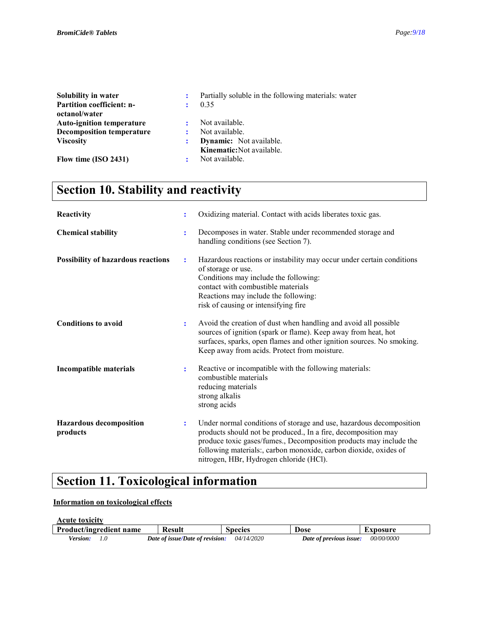| Solubility in water              |              | Partially soluble in the following materials: water |
|----------------------------------|--------------|-----------------------------------------------------|
| <b>Partition coefficient: n-</b> |              | 0.35                                                |
| octanol/water                    |              |                                                     |
| <b>Auto-ignition temperature</b> | $\mathbf{r}$ | Not available.                                      |
| <b>Decomposition temperature</b> |              | Not available.                                      |
| <b>Viscosity</b>                 | :            | <b>Dynamic:</b> Not available.                      |
|                                  |              | Kinematic: Not available.                           |
| Flow time $(ISO 2431)$<br>÷      |              | Not available.                                      |

## **Section 10. Stability and reactivity**

| Reactivity                                 | ÷              | Oxidizing material. Contact with acids liberates toxic gas.                                                                                                                                                                                                                                                                |
|--------------------------------------------|----------------|----------------------------------------------------------------------------------------------------------------------------------------------------------------------------------------------------------------------------------------------------------------------------------------------------------------------------|
| <b>Chemical stability</b>                  | $\ddot{\cdot}$ | Decomposes in water. Stable under recommended storage and<br>handling conditions (see Section 7).                                                                                                                                                                                                                          |
| Possibility of hazardous reactions         | $\ddot{\cdot}$ | Hazardous reactions or instability may occur under certain conditions<br>of storage or use.<br>Conditions may include the following:<br>contact with combustible materials<br>Reactions may include the following:<br>risk of causing or intensifying fire                                                                 |
| <b>Conditions to avoid</b>                 | $\ddot{\cdot}$ | Avoid the creation of dust when handling and avoid all possible<br>sources of ignition (spark or flame). Keep away from heat, hot<br>surfaces, sparks, open flames and other ignition sources. No smoking.<br>Keep away from acids. Protect from moisture.                                                                 |
| <b>Incompatible materials</b>              | ÷              | Reactive or incompatible with the following materials:<br>combustible materials<br>reducing materials<br>strong alkalis<br>strong acids                                                                                                                                                                                    |
| <b>Hazardous decomposition</b><br>products | $\ddot{\cdot}$ | Under normal conditions of storage and use, hazardous decomposition<br>products should not be produced., In a fire, decomposition may<br>produce toxic gases/fumes., Decomposition products may include the<br>following materials:, carbon monoxide, carbon dioxide, oxides of<br>nitrogen, HBr, Hydrogen chloride (HCl). |

### **Section 11. Toxicological information**

### **Information on toxicological effects**

| <b>Acute toxicity</b>   |                                 |                   |                         |                   |
|-------------------------|---------------------------------|-------------------|-------------------------|-------------------|
| Product/ingredient name | <b>Result</b>                   | <b>Species</b>    | Dose                    | Exposure          |
| Version:                | Date of issue/Date of revision: | <i>04/14/2020</i> | Date of previous issue: | <i>00/00/0000</i> |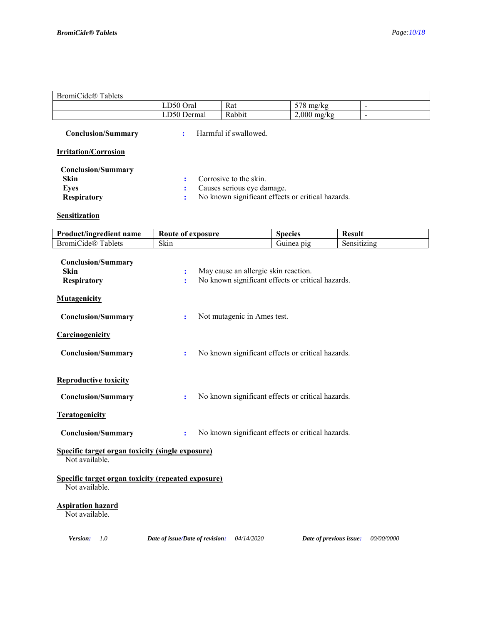٦

### BromiCide® Tablets

| ∽<br>$\overline{\phantom{a}}$<br>Oral<br>л.<br>டட | Rat             | F<br>mo<br>. IN 2<br>$\overline{\phantom{a}}$<br><br>. . | - |
|---------------------------------------------------|-----------------|----------------------------------------------------------|---|
| $\overline{ }$<br>Jermal<br>יי                    | $\sqrt{ }$<br>. | 2.000<br>mg/kg                                           |   |

 **Conclusion/Summary :** Harmful if swallowed.

### **Irritation/Corrosion**

| <b>Conclusion/Summary</b> |                                                   |
|---------------------------|---------------------------------------------------|
| Skin                      | : Corrosive to the skin.                          |
| Eves                      | Causes serious eye damage.                        |
| <b>Respiratory</b>        | No known significant effects or critical hazards. |

### **Sensitization**

| Skin<br>'ide®                                          |  |
|--------------------------------------------------------|--|
| ablets<br>Brom10<br>uzing.<br>Sensi<br>D19<br>Juliitta |  |

| <b>Conclusion/Summary</b><br><b>Skin</b><br><b>Respiratory</b>       | $\ddot{\cdot}$<br>÷             | May cause an allergic skin reaction. | No known significant effects or critical hazards. |            |
|----------------------------------------------------------------------|---------------------------------|--------------------------------------|---------------------------------------------------|------------|
| <b>Mutagenicity</b>                                                  |                                 |                                      |                                                   |            |
| <b>Conclusion/Summary</b>                                            | ÷                               | Not mutagenic in Ames test.          |                                                   |            |
| Carcinogenicity                                                      |                                 |                                      |                                                   |            |
| <b>Conclusion/Summary</b>                                            | $\ddot{\cdot}$                  |                                      | No known significant effects or critical hazards. |            |
| <b>Reproductive toxicity</b>                                         |                                 |                                      |                                                   |            |
| <b>Conclusion/Summary</b>                                            | ÷                               |                                      | No known significant effects or critical hazards. |            |
| <b>Teratogenicity</b>                                                |                                 |                                      |                                                   |            |
| <b>Conclusion/Summary</b>                                            | $\ddot{\cdot}$                  |                                      | No known significant effects or critical hazards. |            |
| Specific target organ toxicity (single exposure)<br>Not available.   |                                 |                                      |                                                   |            |
| Specific target organ toxicity (repeated exposure)<br>Not available. |                                 |                                      |                                                   |            |
| <b>Aspiration hazard</b><br>Not available.                           |                                 |                                      |                                                   |            |
| Version:<br>1.0                                                      | Date of issue/Date of revision: | 04/14/2020                           | Date of previous issue:                           | 00/00/0000 |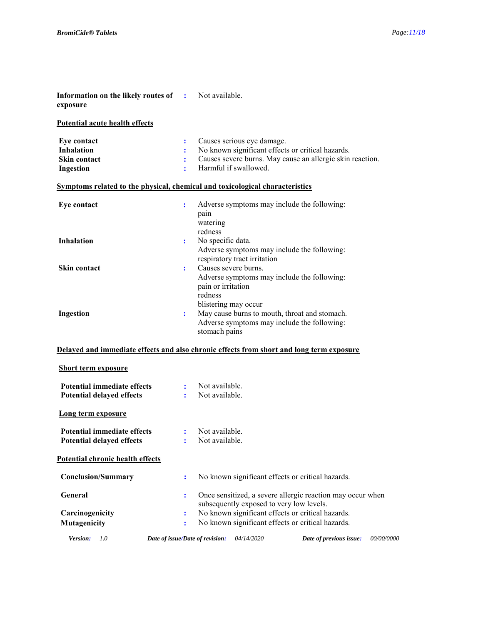| Information on the likely routes of :<br>exposure                            |                                            | Not available.                                                                                                                                                        |
|------------------------------------------------------------------------------|--------------------------------------------|-----------------------------------------------------------------------------------------------------------------------------------------------------------------------|
| Potential acute health effects                                               |                                            |                                                                                                                                                                       |
| Eye contact<br><b>Inhalation</b><br>Skin contact<br><b>Ingestion</b>         | ÷<br>$\ddot{\cdot}$<br>$\ddot{\cdot}$<br>÷ | Causes serious eye damage.<br>No known significant effects or critical hazards.<br>Causes severe burns. May cause an allergic skin reaction.<br>Harmful if swallowed. |
| Symptoms related to the physical, chemical and toxicological characteristics |                                            |                                                                                                                                                                       |
| Eye contact                                                                  | ÷                                          | Adverse symptoms may include the following:<br>pain<br>watering<br>redness                                                                                            |
| <b>Inhalation</b>                                                            | ÷                                          | No specific data.<br>Adverse symptoms may include the following:<br>respiratory tract irritation                                                                      |
| <b>Skin contact</b>                                                          | ÷                                          | Causes severe burns.<br>Adverse symptoms may include the following:<br>pain or irritation<br>redness<br>blistering may occur                                          |
| Ingestion                                                                    | ÷                                          | May cause burns to mouth, throat and stomach.<br>Adverse symptoms may include the following:<br>stomach pains                                                         |
| <b>Short term exposure</b>                                                   |                                            | Delayed and immediate effects and also chronic effects from short and long term exposure                                                                              |
| <b>Potential immediate effects</b><br><b>Potential delayed effects</b>       | $\mathbf{r}$                               | Not available.<br>Not available.                                                                                                                                      |
| <b>Long term exposure</b>                                                    |                                            |                                                                                                                                                                       |
| <b>Potential immediate effects</b><br><b>Potential delayed effects</b>       | ÷                                          | Not available.<br>Not available.                                                                                                                                      |
| <b>Potential chronic health effects</b>                                      |                                            |                                                                                                                                                                       |
| <b>Conclusion/Summary</b>                                                    | ÷                                          | No known significant effects or critical hazards.                                                                                                                     |
| General                                                                      | ÷                                          | Once sensitized, a severe allergic reaction may occur when<br>subsequently exposed to very low levels.                                                                |
| Carcinogenicity                                                              | $\ddot{\cdot}$                             | No known significant effects or critical hazards.                                                                                                                     |
| Mutagenicity                                                                 | ÷                                          | No known significant effects or critical hazards.                                                                                                                     |
| Version:<br>1.0                                                              |                                            | 04/14/2020<br>00/00/0000<br>Date of issue/Date of revision:<br>Date of previous issue:                                                                                |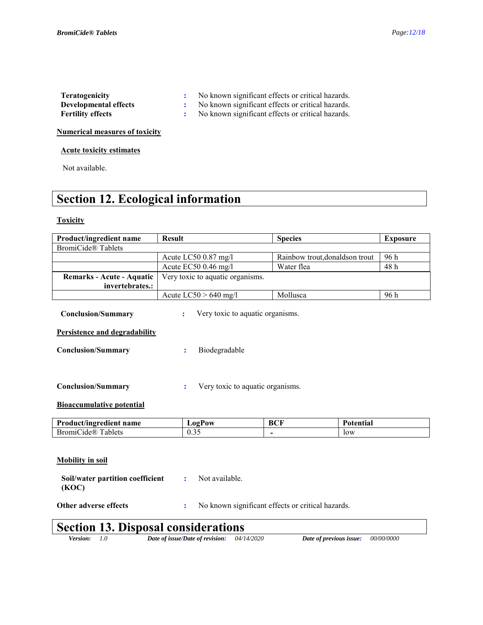| <b>Teratogenicity</b>    | No known significant effects or critical hazards. |
|--------------------------|---------------------------------------------------|
| Developmental effects    | No known significant effects or critical hazards. |
| <b>Fertility effects</b> | No known significant effects or critical hazards. |

**Numerical measures of toxicity** 

### **Acute toxicity estimates**

Not available.

# **Section 12. Ecological information**

### **Toxicity**

| Product/ingredient name                                              | <b>Result</b>                                 | <b>Species</b>                                    | <b>Exposure</b> |
|----------------------------------------------------------------------|-----------------------------------------------|---------------------------------------------------|-----------------|
| <b>BromiCide® Tablets</b>                                            |                                               |                                                   |                 |
|                                                                      | Acute LC50 0.87 mg/l                          | Rainbow trout, donaldson trout                    | 96 h            |
|                                                                      | Acute EC50 0.46 mg/l                          | Water flea                                        | 48h             |
| Remarks - Acute - Aquatic                                            | Very toxic to aquatic organisms.              |                                                   |                 |
| invertebrates.:                                                      |                                               |                                                   |                 |
|                                                                      | Acute $LC50 > 640$ mg/l                       | Mollusca                                          | 96 h            |
| <b>Conclusion/Summary</b>                                            | Very toxic to aquatic organisms.<br>٠.        |                                                   |                 |
| Persistence and degradability                                        |                                               |                                                   |                 |
| <b>Conclusion/Summary</b>                                            | Biodegradable<br>$\ddot{\cdot}$               |                                                   |                 |
| <b>Conclusion/Summary</b><br><b>Bioaccumulative potential</b>        | Very toxic to aquatic organisms.              |                                                   |                 |
| Product/ingredient name                                              | <b>LogPow</b>                                 | <b>BCF</b>                                        | Potential       |
| <b>BromiCide® Tablets</b>                                            | 0.35                                          | $\overline{\phantom{a}}$                          | low             |
| <b>Mobility</b> in soil<br>Soil/water partition coefficient<br>(KOC) | Not available.<br>÷                           |                                                   |                 |
| Other adverse effects                                                | ÷                                             | No known significant effects or critical hazards. |                 |
| <b>Section 13. Disposal considerations</b>                           |                                               |                                                   |                 |
| Version:<br>1.0                                                      | Date of issue/Date of revision:<br>04/14/2020 | Date of previous issue:                           | 00/00/0000      |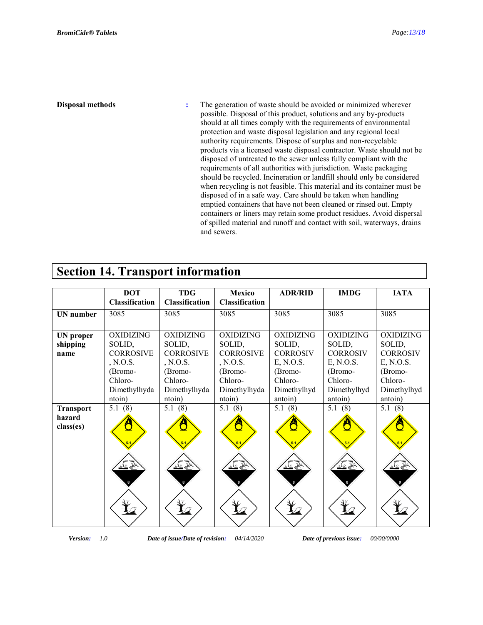**Disposal methods :** The generation of waste should be avoided or minimized wherever possible. Disposal of this product, solutions and any by-products should at all times comply with the requirements of environmental protection and waste disposal legislation and any regional local authority requirements. Dispose of surplus and non-recyclable products via a licensed waste disposal contractor. Waste should not be disposed of untreated to the sewer unless fully compliant with the requirements of all authorities with jurisdiction. Waste packaging should be recycled. Incineration or landfill should only be considered when recycling is not feasible. This material and its container must be disposed of in a safe way. Care should be taken when handling emptied containers that have not been cleaned or rinsed out. Empty containers or liners may retain some product residues. Avoid dispersal of spilled material and runoff and contact with soil, waterways, drains and sewers.

### **Section 14. Transport information**

|                                         | <b>DOT</b><br><b>Classification</b>                                                                        | <b>TDG</b><br><b>Classification</b>                                                                        | <b>Mexico</b><br><b>Classification</b>                                                                     | <b>ADR/RID</b>                                                                                             | <b>IMDG</b>                                                                                                | <b>IATA</b>                                                                                                |
|-----------------------------------------|------------------------------------------------------------------------------------------------------------|------------------------------------------------------------------------------------------------------------|------------------------------------------------------------------------------------------------------------|------------------------------------------------------------------------------------------------------------|------------------------------------------------------------------------------------------------------------|------------------------------------------------------------------------------------------------------------|
| <b>UN</b> number                        | 3085                                                                                                       | 3085                                                                                                       | 3085                                                                                                       | 3085                                                                                                       | 3085                                                                                                       | 3085                                                                                                       |
| <b>UN</b> proper<br>shipping<br>name    | <b>OXIDIZING</b><br>SOLID,<br><b>CORROSIVE</b><br>, N.O.S.<br>(Bromo-<br>Chloro-<br>Dimethylhyda<br>ntoin) | <b>OXIDIZING</b><br>SOLID,<br><b>CORROSIVE</b><br>, N.O.S.<br>(Bromo-<br>Chloro-<br>Dimethylhyda<br>ntoin) | <b>OXIDIZING</b><br>SOLID,<br><b>CORROSIVE</b><br>, N.O.S.<br>(Bromo-<br>Chloro-<br>Dimethylhyda<br>ntoin) | <b>OXIDIZING</b><br>SOLID,<br><b>CORROSIV</b><br>E, N.O.S.<br>(Bromo-<br>Chloro-<br>Dimethylhyd<br>antoin) | <b>OXIDIZING</b><br>SOLID,<br><b>CORROSIV</b><br>E, N.O.S.<br>(Bromo-<br>Chloro-<br>Dimethylhyd<br>antoin) | <b>OXIDIZING</b><br>SOLID,<br><b>CORROSIV</b><br>E, N.O.S.<br>(Bromo-<br>Chloro-<br>Dimethylhyd<br>antoin) |
| <b>Transport</b><br>hazard<br>class(es) | 5.1(8)                                                                                                     | 5.1(8)                                                                                                     | 5.1(8)                                                                                                     | 5.1(8)                                                                                                     | 5.1(8)                                                                                                     | 5.1(8)                                                                                                     |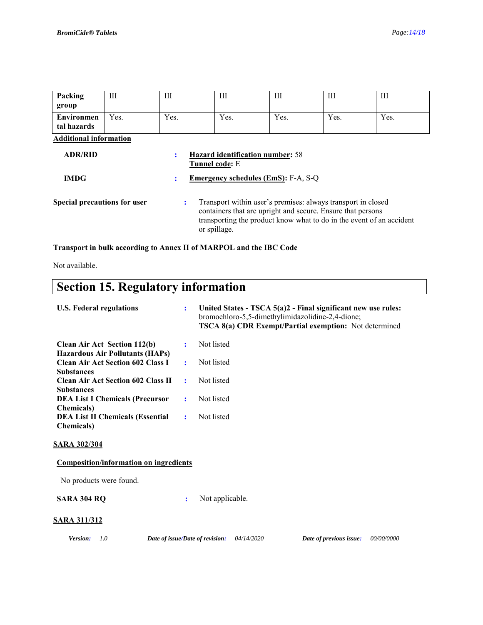| Packing                          | Ш    | Ш                                                              | Ш                                                                                                                                                                                                                   | Ш    | Ш    | Ш    |
|----------------------------------|------|----------------------------------------------------------------|---------------------------------------------------------------------------------------------------------------------------------------------------------------------------------------------------------------------|------|------|------|
| group                            |      |                                                                |                                                                                                                                                                                                                     |      |      |      |
| <b>Environmen</b><br>tal hazards | Yes. | Yes.                                                           | Yes.                                                                                                                                                                                                                | Yes. | Yes. | Yes. |
| <b>Additional information</b>    |      |                                                                |                                                                                                                                                                                                                     |      |      |      |
| <b>ADR/RID</b>                   |      | <b>Hazard identification number: 58</b><br>÷<br>Tunnel code: E |                                                                                                                                                                                                                     |      |      |      |
| <b>IMDG</b>                      |      | <b>Emergency schedules (EmS): F-A, S-Q</b><br>÷                |                                                                                                                                                                                                                     |      |      |      |
| Special precautions for user     |      | ÷                                                              | Transport within user's premises: always transport in closed<br>containers that are upright and secure. Ensure that persons<br>transporting the product know what to do in the event of an accident<br>or spillage. |      |      |      |

**Transport in bulk according to Annex II of MARPOL and the IBC Code** 

Not available.

# **Section 15. Regulatory information**

| <b>U.S. Federal regulations</b>                                                                         | ÷ | United States - TSCA 5(a)2 - Final significant new use rules:<br>bromochloro-5,5-dimethylimidazolidine-2,4-dione;<br><b>TSCA 8(a) CDR Exempt/Partial exemption:</b> Not determined |            |
|---------------------------------------------------------------------------------------------------------|---|------------------------------------------------------------------------------------------------------------------------------------------------------------------------------------|------------|
| <b>Clean Air Act Section 112(b)</b>                                                                     | ÷ | Not listed                                                                                                                                                                         |            |
| <b>Hazardous Air Pollutants (HAPs)</b><br><b>Clean Air Act Section 602 Class I</b><br><b>Substances</b> | ÷ | Not listed                                                                                                                                                                         |            |
| <b>Clean Air Act Section 602 Class II</b><br><b>Substances</b>                                          | ÷ | Not listed                                                                                                                                                                         |            |
| <b>DEA List I Chemicals (Precursor</b>                                                                  | ÷ | Not listed                                                                                                                                                                         |            |
| <b>Chemicals</b> )<br><b>DEA List II Chemicals (Essential</b><br><b>Chemicals</b> )                     | ÷ | Not listed                                                                                                                                                                         |            |
| <b>SARA 302/304</b>                                                                                     |   |                                                                                                                                                                                    |            |
| <b>Composition/information on ingredients</b>                                                           |   |                                                                                                                                                                                    |            |
| No products were found.                                                                                 |   |                                                                                                                                                                                    |            |
| <b>SARA 304 RQ</b>                                                                                      | ÷ | Not applicable.                                                                                                                                                                    |            |
| <b>SARA 311/312</b>                                                                                     |   |                                                                                                                                                                                    |            |
| 1.0<br>Version:                                                                                         |   | Date of issue/Date of revision:<br>04/14/2020<br>Date of previous issue:                                                                                                           | 00/00/0000 |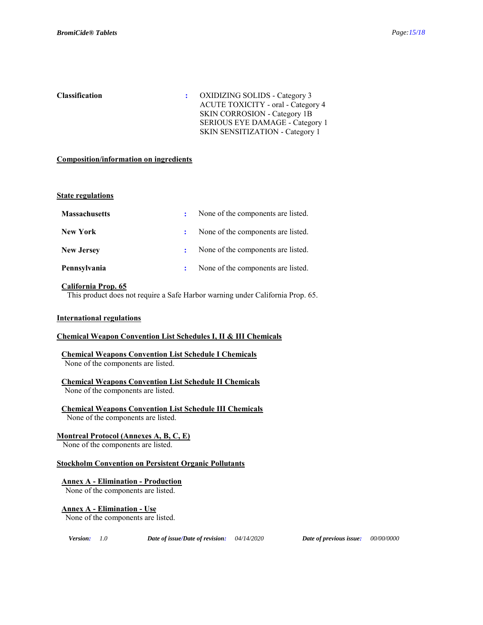**Classification :** OXIDIZING SOLIDS - Category 3 ACUTE TOXICITY - oral - Category 4 SKIN CORROSION - Category 1B SERIOUS EYE DAMAGE - Category 1 SKIN SENSITIZATION - Category 1

#### **Composition/information on ingredients**

#### **State regulations**

| <b>Massachusetts</b> | $\mathbf{L}$ | None of the components are listed. |
|----------------------|--------------|------------------------------------|
| New York             |              | None of the components are listed. |
| <b>New Jersey</b>    | $\mathbf{r}$ | None of the components are listed. |
| Pennsylvania         |              | None of the components are listed. |

### **California Prop. 65**

This product does not require a Safe Harbor warning under California Prop. 65.

#### **International regulations**

### **Chemical Weapon Convention List Schedules I, II & III Chemicals**

**Chemical Weapons Convention List Schedule I Chemicals** None of the components are listed.

### **Chemical Weapons Convention List Schedule II Chemicals**

None of the components are listed.

**Chemical Weapons Convention List Schedule III Chemicals** None of the components are listed.

### **Montreal Protocol (Annexes A, B, C, E)**

None of the components are listed.

#### **Stockholm Convention on Persistent Organic Pollutants**

### **Annex A - Elimination - Production**

None of the components are listed.

#### **Annex A - Elimination - Use**

None of the components are listed.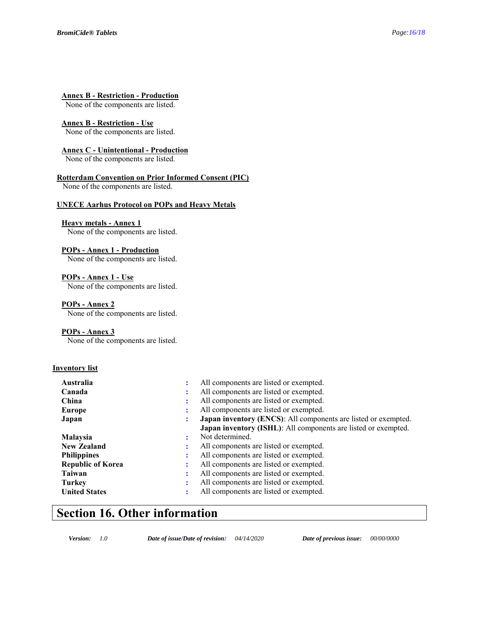### **Annex B - Restriction - Production**

None of the components are listed.

#### **Annex B - Restriction - Use**

None of the components are listed.

### **Annex C - Unintentional - Production**

None of the components are listed.

### **Rotterdam Convention on Prior Informed Consent (PIC)**

None of the components are listed.

#### **UNECE Aarhus Protocol on POPs and Heavy Metals**

### **Heavy metals - Annex 1**

None of the components are listed.

#### **POPs - Annex 1 - Production**

None of the components are listed.

### **POPs - Annex 1 - Use**

None of the components are listed.

### **POPs - Annex 2**

None of the components are listed.

### **POPs - Annex 3**

None of the components are listed.

#### **Inventory list**

| All components are listed or exempted.<br>Canada                        |  |
|-------------------------------------------------------------------------|--|
| All components are listed or exempted.<br>China                         |  |
| All components are listed or exempted.<br>Europe                        |  |
| Japan inventory (ENCS): All components are listed or exempted.<br>Japan |  |
| <b>Japan inventory (ISHL):</b> All components are listed or exempted.   |  |
| Not determined.<br>Malaysia                                             |  |
| All components are listed or exempted.<br><b>New Zealand</b>            |  |
| All components are listed or exempted.<br><b>Philippines</b>            |  |
| All components are listed or exempted.<br><b>Republic of Korea</b>      |  |
| All components are listed or exempted.<br>Taiwan                        |  |
| All components are listed or exempted.<br><b>Turkey</b>                 |  |
| All components are listed or exempted.<br><b>United States</b>          |  |

### **Section 16. Other information**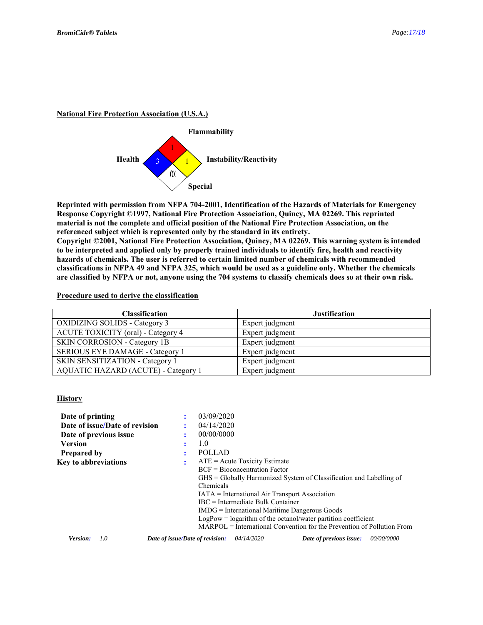### **National Fire Protection Association (U.S.A.)**



**Reprinted with permission from NFPA 704-2001, Identification of the Hazards of Materials for Emergency Response Copyright ©1997, National Fire Protection Association, Quincy, MA 02269. This reprinted material is not the complete and official position of the National Fire Protection Association, on the referenced subject which is represented only by the standard in its entirety. Copyright ©2001, National Fire Protection Association, Quincy, MA 02269. This warning system is intended to be interpreted and applied only by properly trained individuals to identify fire, health and reactivity hazards of chemicals. The user is referred to certain limited number of chemicals with recommended classifications in NFPA 49 and NFPA 325, which would be used as a guideline only. Whether the chemicals are classified by NFPA or not, anyone using the 704 systems to classify chemicals does so at their own risk.** 

### **Procedure used to derive the classification**

| <b>Classification</b>                     | <b>Justification</b> |
|-------------------------------------------|----------------------|
| <b>OXIDIZING SOLIDS - Category 3</b>      | Expert judgment      |
| <b>ACUTE TOXICITY</b> (oral) - Category 4 | Expert judgment      |
| <b>SKIN CORROSION - Category 1B</b>       | Expert judgment      |
| SERIOUS EYE DAMAGE - Category 1           | Expert judgment      |
| SKIN SENSITIZATION - Category 1           | Expert judgment      |
| AQUATIC HAZARD (ACUTE) - Category 1       | Expert judgment      |

### **History**

| Date of printing               | 03/09/2020                      |                                                                          |                   |
|--------------------------------|---------------------------------|--------------------------------------------------------------------------|-------------------|
| Date of issue/Date of revision | 04/14/2020                      |                                                                          |                   |
| Date of previous issue         | 00/00/0000                      |                                                                          |                   |
| <b>Version</b>                 | 1.0<br>٠                        |                                                                          |                   |
| <b>Prepared by</b>             | <b>POLLAD</b>                   |                                                                          |                   |
| <b>Key to abbreviations</b>    |                                 | $ATE =$ Acute Toxicity Estimate                                          |                   |
|                                |                                 | $BCF = Bioconcentration Factor$                                          |                   |
|                                |                                 | GHS = Globally Harmonized System of Classification and Labelling of      |                   |
|                                | Chemicals                       |                                                                          |                   |
|                                |                                 | <b>IATA</b> = International Air Transport Association                    |                   |
|                                |                                 | $\text{IRC}$ = Intermediate Bulk Container                               |                   |
|                                |                                 | IMDG = International Maritime Dangerous Goods                            |                   |
|                                |                                 | $LogPow = logarithm$ of the octanol/water partition coefficient          |                   |
|                                |                                 | $MARPOL = International Convention for the Prevention of Pollution From$ |                   |
| 1.0<br>Version:                | Date of issue/Date of revision: | <i>04/14/2020</i><br>Date of previous issue:                             | <i>00/00/0000</i> |